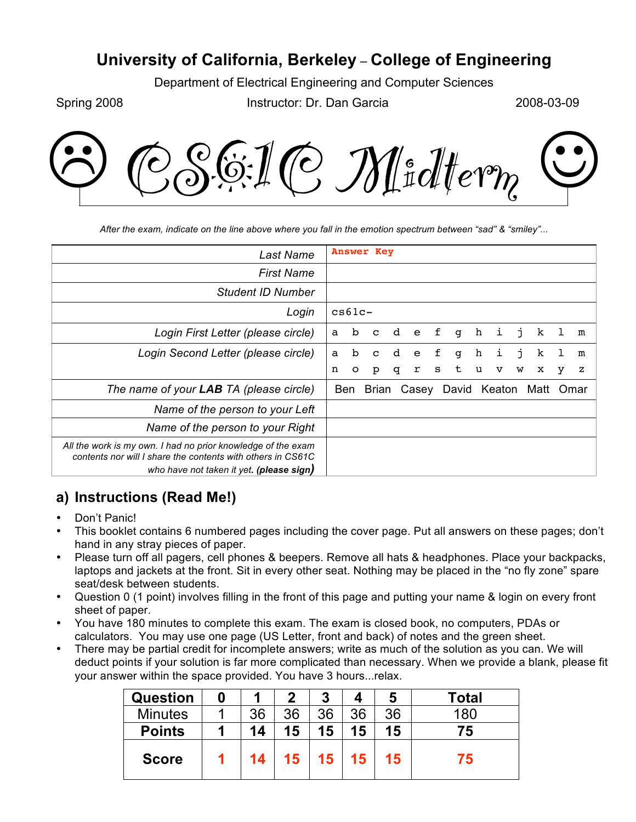## **University of California, Berkeley** – **College of Engineering**

Department of Electrical Engineering and Computer Sciences

Spring 2008 **Instructor: Dr. Dan Garcia** 2008-03-09



*After the exam, indicate on the line above where you fall in the emotion spectrum between "sad" & "smiley"...*

| Last Name                                                                                                                   |   |             | <b>Answer Key</b>        |   |              |   |   |   |   |    |      |         |      |
|-----------------------------------------------------------------------------------------------------------------------------|---|-------------|--------------------------|---|--------------|---|---|---|---|----|------|---------|------|
| <b>First Name</b>                                                                                                           |   |             |                          |   |              |   |   |   |   |    |      |         |      |
| Student ID Number                                                                                                           |   |             |                          |   |              |   |   |   |   |    |      |         |      |
| Login                                                                                                                       |   | $cs61c -$   |                          |   |              |   |   |   |   |    |      |         |      |
| Login First Letter (please circle)                                                                                          | a | b           | $\mathbf{C}$             | d | $^{\circ}$ e | f | q | h | i | j. | k    |         | m    |
| Login Second Letter (please circle)                                                                                         | a | $\mathbf b$ | $\mathbf C$              | d | e            | f | q | h | i | i  | k    | $\perp$ | m    |
|                                                                                                                             | n | $\circ$     | p                        | q | r            | s | t | u | v | W  | x    | у       | z    |
| The name of your LAB TA (please circle)                                                                                     |   | Ben         | Brian Casey David Keaton |   |              |   |   |   |   |    | Matt |         | Omar |
| Name of the person to your Left                                                                                             |   |             |                          |   |              |   |   |   |   |    |      |         |      |
| Name of the person to your Right                                                                                            |   |             |                          |   |              |   |   |   |   |    |      |         |      |
| All the work is my own. I had no prior knowledge of the exam<br>contents nor will I share the contents with others in CS61C |   |             |                          |   |              |   |   |   |   |    |      |         |      |
| who have not taken it yet. (please sign)                                                                                    |   |             |                          |   |              |   |   |   |   |    |      |         |      |

## **a) Instructions (Read Me!)**

- Don't Panic!
- This booklet contains 6 numbered pages including the cover page. Put all answers on these pages; don't hand in any stray pieces of paper.
- Please turn off all pagers, cell phones & beepers. Remove all hats & headphones. Place your backpacks, laptops and jackets at the front. Sit in every other seat. Nothing may be placed in the "no fly zone" spare seat/desk between students.
- Question 0 (1 point) involves filling in the front of this page and putting your name & login on every front sheet of paper.
- You have 180 minutes to complete this exam. The exam is closed book, no computers, PDAs or calculators. You may use one page (US Letter, front and back) of notes and the green sheet.
- There may be partial credit for incomplete answers; write as much of the solution as you can. We will deduct points if your solution is far more complicated than necessary. When we provide a blank, please fit your answer within the space provided. You have 3 hours...relax.

| <b>Question</b> |    | 2               | 3  |    | 5  | Total |
|-----------------|----|-----------------|----|----|----|-------|
| <b>Minutes</b>  | 36 | 36              | 36 | 36 | 36 | 180   |
| <b>Points</b>   | 14 | 15              | 15 | 15 | 15 | 75    |
| <b>Score</b>    | 14 | 15 <sub>1</sub> | 15 | 15 | 15 | 75    |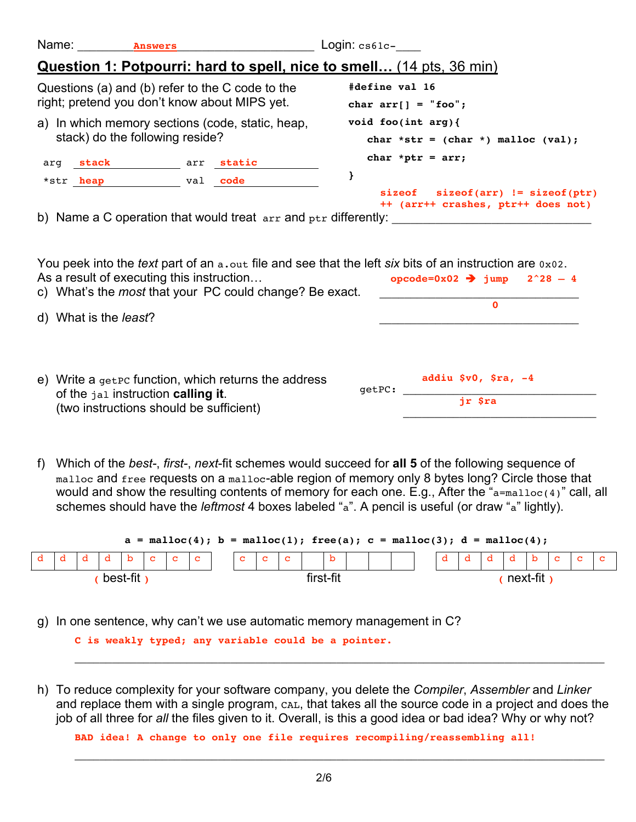| Name: |                  | <b>Answers</b>                  |                                                                               | $Login: cs61c-$                                                                |  |  |  |  |  |  |
|-------|------------------|---------------------------------|-------------------------------------------------------------------------------|--------------------------------------------------------------------------------|--|--|--|--|--|--|
|       |                  |                                 | Question 1: Potpourri: hard to spell, nice to smell (14 pts, 36 min)          |                                                                                |  |  |  |  |  |  |
|       |                  |                                 | Questions (a) and (b) refer to the C code to the                              | #define val 16                                                                 |  |  |  |  |  |  |
|       |                  |                                 | right; pretend you don't know about MIPS yet.                                 | char $arr[] = "foo";$                                                          |  |  |  |  |  |  |
|       |                  |                                 | a) In which memory sections (code, static, heap,                              | void foo(int $arg$ ){                                                          |  |  |  |  |  |  |
|       |                  | stack) do the following reside? |                                                                               | char *str = $(char * )$ malloc $val$ ;                                         |  |  |  |  |  |  |
|       | arg stack        | arr static                      |                                                                               | char *ptr = $arr;$                                                             |  |  |  |  |  |  |
|       | *str <b>heap</b> | val <b>code</b>                 |                                                                               |                                                                                |  |  |  |  |  |  |
|       |                  |                                 | b) Name a C operation that would treat $\alpha$ r and $\beta$ tr differently: | $size of size of (arr) != size of (ptr)$<br>++ (arr++ crashes, ptr++ does not) |  |  |  |  |  |  |
|       |                  |                                 |                                                                               |                                                                                |  |  |  |  |  |  |

| You peek into the <i>text</i> part of an a, out file and see that the left six bits of an instruction are 0x02. |                                         |  |
|-----------------------------------------------------------------------------------------------------------------|-----------------------------------------|--|
| As a result of executing this instruction                                                                       | opcode=0x02 $\rightarrow$ jump 2^28 - 4 |  |
|                                                                                                                 |                                         |  |

| c) what s the <i>most</i> that your PC could change? Be exact.<br>d) What is the <i>least</i> ?                                            |        |                                 |  |
|--------------------------------------------------------------------------------------------------------------------------------------------|--------|---------------------------------|--|
| e) Write a $q$ et $p$ function, which returns the address<br>of the jal instruction calling it.<br>(two instructions should be sufficient) | qetPC: | addiu $$v0, $ra, -4$<br>jr \$ra |  |

f) Which of the *best-*, *first-*, *next*-fit schemes would succeed for **all 5** of the following sequence of malloc and free requests on a malloc-able region of memory only 8 bytes long? Circle those that would and show the resulting contents of memory for each one. E.g., After the "a=malloc(4)" call, all schemes should have the *leftmost* 4 boxes labeled "a". A pencil is useful (or draw "a" lightly).

| $a = \text{malloc}(4)$ ; $b = \text{malloc}(1)$ ; free(a); $c = \text{malloc}(3)$ ; $d = \text{malloc}(4)$ ; |  |  |          |  |  |                               |  |           |  |              |  |              |  |  |  |          |  |  |  |  |
|--------------------------------------------------------------------------------------------------------------|--|--|----------|--|--|-------------------------------|--|-----------|--|--------------|--|--------------|--|--|--|----------|--|--|--|--|
|                                                                                                              |  |  |          |  |  | $ c $ $ c $ $ c $ $ c $ $ c $ |  |           |  | $\mathbf{C}$ |  | $\mathbf{b}$ |  |  |  |          |  |  |  |  |
|                                                                                                              |  |  | best-fit |  |  |                               |  | first-fit |  |              |  |              |  |  |  | next-fit |  |  |  |  |

g) In one sentence, why can't we use automatic memory management in C?

**C is weakly typed; any variable could be a pointer.**

h) To reduce complexity for your software company, you delete the *Compiler*, *Assembler* and *Linker* and replace them with a single program, CAL, that takes all the source code in a project and does the job of all three for *all* the files given to it. Overall, is this a good idea or bad idea? Why or why not?

\_\_\_\_\_\_\_\_\_\_\_\_\_\_\_\_\_\_\_\_\_\_\_\_\_\_\_\_\_\_\_\_\_\_\_\_\_\_\_\_\_\_\_\_\_\_\_\_\_\_\_\_\_\_\_\_\_\_\_\_\_\_\_\_\_\_\_\_\_\_\_\_\_\_\_\_\_\_\_\_\_\_\_\_\_

**BAD idea! A change to only one file requires recompiling/reassembling all!**

\_\_\_\_\_\_\_\_\_\_\_\_\_\_\_\_\_\_\_\_\_\_\_\_\_\_\_\_\_\_\_\_\_\_\_\_\_\_\_\_\_\_\_\_\_\_\_\_\_\_\_\_\_\_\_\_\_\_\_\_\_\_\_\_\_\_\_\_\_\_\_\_\_\_\_\_\_\_\_\_\_\_\_\_\_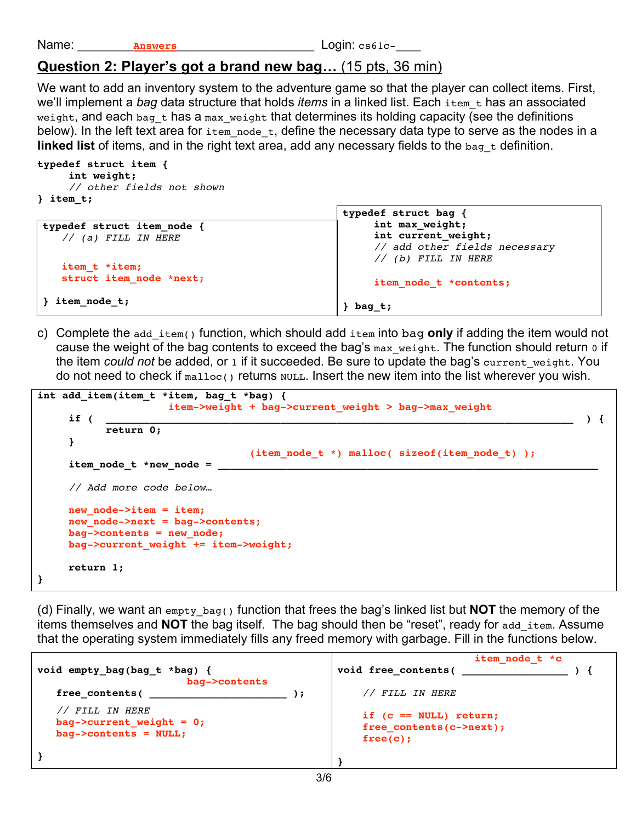Name: **Answers Answers Login:** cs61c-

## **Question 2: Player's got a brand new bag…** (15 pts, 36 min)

We want to add an inventory system to the adventure game so that the player can collect items. First, we'll implement a *bag* data structure that holds *items* in a linked list. Each item t has an associated weight, and each bag  $t$  has a max weight that determines its holding capacity (see the definitions below). In the left text area for  $i$ tem node t, define the necessary data type to serve as the nodes in a **linked list** of items, and in the right text area, add any necessary fields to the bag t definition.

```
typedef struct item {
      int weight;
      // other fields not shown
} item_t;
```

|                          | typedef struct bag {          |
|--------------------------|-------------------------------|
| typedef struct item node | int max weight;               |
| $//$ (a) FILL IN HERE    | int current weight;           |
|                          | // add other fields necessary |
| item_t *item;            | // (b) FILL IN HERE           |
| struct item node *next;  | item node t *contents;        |
| item_node_t;             | bag t;                        |

c) Complete the add\_item() function, which should add item into bag **only** if adding the item would not cause the weight of the bag contents to exceed the bag's max\_weight. The function should return o if the item *could not* be added, or 1 if it succeeded. Be sure to update the bag's current\_weight. You do not need to check if  $_{\text{malloc}}$ () returns  $_{\text{NULL}}$ . Insert the new item into the list wherever you wish.

```
int add_item(item_t *item, bag_t *bag) {
                      item->weight + bag->current_weight > bag->max_weight
 if ( ___________________________________________________________________________ ) {
            return 0;
      }
                                    (item_node_t *) malloc( sizeof(item_node_t) );
     item node t *new node =
      // Add more code below…
      new_node->item = item;
      new_node->next = bag->contents;
      bag->contents = new_node;
      bag->current_weight += item->weight;
      return 1;
}
```
(d) Finally, we want an empty\_bag() function that frees the bag's linked list but **NOT** the memory of the items themselves and **NOT** the bag itself. The bag should then be "reset", ready for add\_item. Assume that the operating system immediately fills any freed memory with garbage. Fill in the functions below.

| void empty_bag(bag_t *bag) {<br>bag->contents                             | item node t *c<br>void free contents(                            |
|---------------------------------------------------------------------------|------------------------------------------------------------------|
| free contents (                                                           | // FILL IN HERE                                                  |
| // FILL IN HERE<br>bag->current weight = $0;$<br>$bag$ ->contents = NULL; | if $(c == NULL)$ return;<br>free contents (c->next);<br>free(c); |
|                                                                           |                                                                  |
|                                                                           |                                                                  |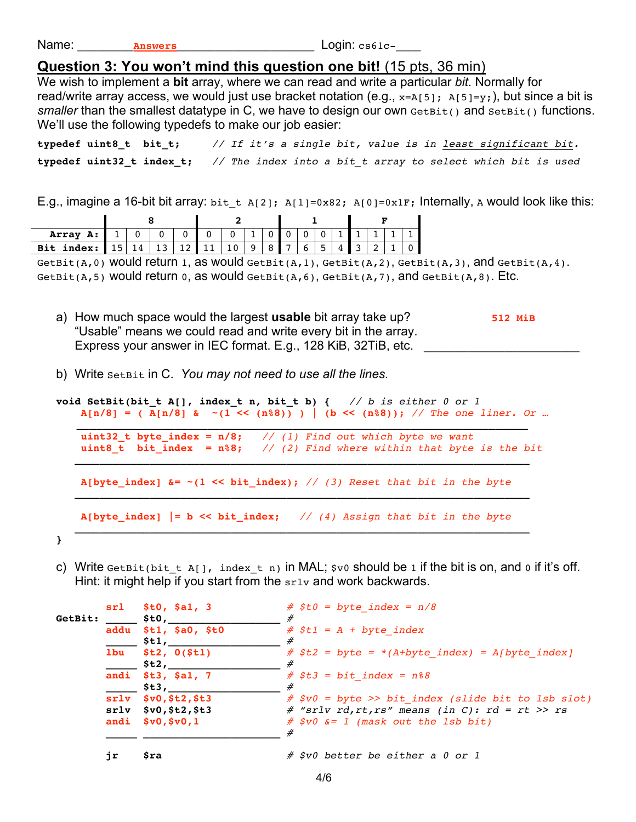| Name: |  |
|-------|--|
|       |  |

Answers **Answers Login:** cs61c-

## **Question 3: You won't mind this question one bit!** (15 pts, 36 min)

We wish to implement a **bit** array, where we can read and write a particular *bit*. Normally for read/write array access, we would just use bracket notation (e.g.,  $x=A[5]$ ;  $A[5]=y$ ;), but since a bit is *smaller* than the smallest datatype in C, we have to design our own GetBit() and SetBit() functions. We'll use the following typedefs to make our job easier:

**typedef uint8\_t bit\_t;** *// If it's a single bit, value is in least significant bit.* **typedef uint32\_t index\_t;** *// The index into a bit\_t array to select which bit is used*

E.g., imagine a 16-bit bit array: bit t A[2]; A[1]=0x82; A[0]=0x1F; Internally, A would look like this:

| <b>Array A:</b> $1   0   0   0   0   0   1   0   0   0   0   1   1   1   1   1$                   |  |  |  |  |  |  |  |  |
|---------------------------------------------------------------------------------------------------|--|--|--|--|--|--|--|--|
| <b>Bit index:</b> 15 14 13 12 11 10 9 8 7 6 5 4 3 2 1 0                                           |  |  |  |  |  |  |  |  |
| GetBit(A, 0) Would return 1, as would GetBit(A, 1), GetBit(A, 2), GetBit(A, 3), and GetBit(A, 4). |  |  |  |  |  |  |  |  |

GetBit(A,5) Would return 0, as would GetBit(A,6), GetBit(A,7), and GetBit(A,8). Etc.

- a) How much space would the largest **usable** bit array take up? **512 MiB** "Usable" means we could read and write every bit in the array. Express your answer in IEC format. E.g., 128 KiB, 32TiB, etc.
- b) Write SetBit in C. *You may not need to use all the lines.*

```
void SetBit(bit_t A[], index_t n, bit_t b) { // b is either 0 or 1
        A[n/8] = ( A[n/8] & ~(1 << (n%8)) ) | (b << (n%8)); // The one liner. Or …
 _____________________________________________________________________
       uint32_t byte_index = n/8; // (1) Find out which byte we want uint8_t bit_index = n%8; // (2) Find where within that byte
                                      uint8_t bit_index = n%8; // (2) Find where within that byte is the bit
    _________________________________________________________________________
        A[byte_index] &= ~(1 << bit_index); // (3) Reset that bit in the byte
    _________________________________________________________________________
        A[byte_index] |= b << bit_index; // (4) Assign that bit in the byte
    _________________________________________________________________________
```
- **}**
- c) Write GetBit(bit t A[], index t n) in MAL;  $\frac{1}{5}$ v0 should be 1 if the bit is on, and 0 if it's off. Hint: it might help if you start from the  $srlv$  and work backwards.

|         | sr1  | \$t0, \$a1, 3          | $#$ \$t0 = byte index = $n/8$                        |
|---------|------|------------------------|------------------------------------------------------|
| GetBit: |      | \$tO,                  |                                                      |
|         | addu | \$tl, \$aO, \$tO       | $#$ \$t1 = A + byte index                            |
|         |      | Stl,                   | #                                                    |
|         | 1bu  | \$t2, 0 (\$t1)         | $#$ \$t2 = byte = *(A+byte index) = A[byte index]    |
|         |      | \$t2,                  |                                                      |
|         |      | andi \$t3, \$a1, 7     | $#$ \$t3 = bit index = $n$ $88$                      |
|         |      | St3,                   |                                                      |
|         |      | $srlv$ $$v0, $t2, $t3$ | $#$ \$v0 = byte >> bit index (slide bit to lsb slot) |
|         |      | $srlv$ $$v0, $t2, $t3$ | # "srlv rd, rt, rs" means (in C): rd = rt >> rs      |
|         |      | andi $$v0, $v0, 1$     | $#$ \$v0 $\&= 1$ (mask out the 1sb bit)              |
|         |      |                        |                                                      |
|         |      |                        | # \$v0 better be either a 0 or 1                     |
|         | jr   | Şra                    |                                                      |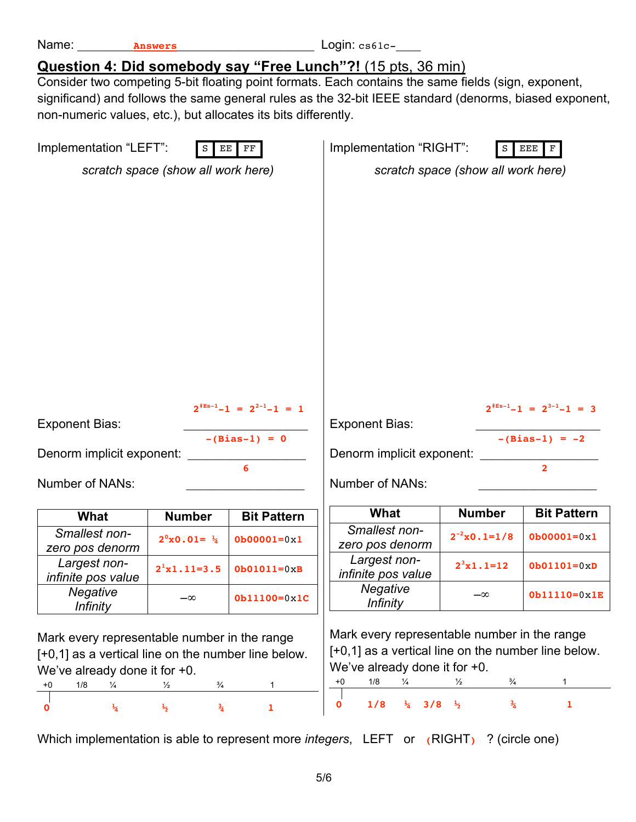| non-numeric values, etc.), but allocates its bits differently.                                                                                                                 |                                                                  |                                                               | <b>Question 4: Did somebody say "Free Lunch"?!</b> (15 pts, 36 min)<br>Consider two competing 5-bit floating point formats. Each contains the same fields (sign, exponent,<br>significand) and follows the same general rules as the 32-bit IEEE standard (denorms, biased exponent, |                                                 |                                                                             |  |  |  |  |  |  |
|--------------------------------------------------------------------------------------------------------------------------------------------------------------------------------|------------------------------------------------------------------|---------------------------------------------------------------|--------------------------------------------------------------------------------------------------------------------------------------------------------------------------------------------------------------------------------------------------------------------------------------|-------------------------------------------------|-----------------------------------------------------------------------------|--|--|--|--|--|--|
| Implementation "LEFT":                                                                                                                                                         | EE                                                               | $_{\rm FF}$                                                   | Implementation "RIGHT":                                                                                                                                                                                                                                                              |                                                 | $\mathbf{F}$<br><b>EEE</b>                                                  |  |  |  |  |  |  |
|                                                                                                                                                                                | scratch space (show all work here)                               |                                                               | scratch space (show all work here)                                                                                                                                                                                                                                                   |                                                 |                                                                             |  |  |  |  |  |  |
|                                                                                                                                                                                |                                                                  |                                                               |                                                                                                                                                                                                                                                                                      |                                                 |                                                                             |  |  |  |  |  |  |
| <b>Exponent Bias:</b><br>Denorm implicit exponent:<br>Number of NANs:                                                                                                          |                                                                  | $2^{\text{\#Es-1}}-1 = 2^{2-1}-1 = 1$<br>$-(Bias-1) = 0$<br>6 | <b>Exponent Bias:</b><br>Denorm implicit exponent:<br>Number of NANs:                                                                                                                                                                                                                |                                                 | $2^{\text{\#Es-1}}-1 = 2^{3-1}-1 = 3$<br>$-(Bias-1) = -2$<br>$\overline{2}$ |  |  |  |  |  |  |
| What                                                                                                                                                                           | <b>Number</b>                                                    | <b>Bit Pattern</b>                                            | What                                                                                                                                                                                                                                                                                 | <b>Number</b>                                   | <b>Bit Pattern</b>                                                          |  |  |  |  |  |  |
| Smallest non-<br>zero pos denorm                                                                                                                                               | $2^{\circ}x0.01 = \frac{1}{4}$                                   | $0b00001=0x1$                                                 | Smallest non-<br>zero pos denorm                                                                                                                                                                                                                                                     | $2^{-2} \times 0.1 = 1/8$                       | $0b00001=0x1$                                                               |  |  |  |  |  |  |
| Largest non-<br>infinite pos value                                                                                                                                             | $2^1x1.11=3.5$                                                   | $Ob01011=0xB$                                                 | Largest non-<br>infinite pos value                                                                                                                                                                                                                                                   | $2^3x1.1=12$                                    | $Ob01101=0xD$                                                               |  |  |  |  |  |  |
| <b>Negative</b><br><i>Infinity</i>                                                                                                                                             | $-\infty$                                                        | $0b11100=0x1C$                                                | <b>Negative</b><br><i>Infinity</i>                                                                                                                                                                                                                                                   | $-\infty$                                       | $0b11110=0x1E$                                                              |  |  |  |  |  |  |
| Mark every representable number in the range<br>[+0,1] as a vertical line on the number line below.<br>We've already done it for +0.<br>1/8<br>¼<br>$+0$<br>$\frac{1}{4}$<br>O | $\frac{1}{2}$<br>$\frac{3}{4}$<br>$\frac{3}{4}$<br>$\frac{1}{2}$ | 1<br>1                                                        | Mark every representable number in the range<br>[+0,1] as a vertical line on the number line below.<br>We've already done it for +0.<br>1/8<br>$+0$<br>¼<br>1/8<br>$\frac{1}{4}$ 3/8 $\frac{1}{2}$<br>0                                                                              | $\frac{3}{4}$<br>$\frac{1}{2}$<br>$\frac{3}{4}$ | 1                                                                           |  |  |  |  |  |  |
|                                                                                                                                                                                |                                                                  |                                                               | Which implementation is able to represent more <i>integers</i> , LEFT or $(RIGHT)$ ? (circle one)                                                                                                                                                                                    |                                                 |                                                                             |  |  |  |  |  |  |

Name: <u>Answers</u> 10001 2001 2005 2006